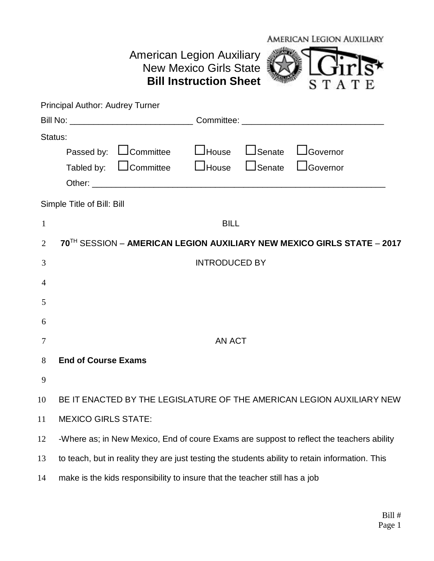|                | American Legion Auxiliary<br><b>American Legion Auxiliary</b><br><b>New Mexico Girls State</b>  |
|----------------|-------------------------------------------------------------------------------------------------|
|                | <b>Bill Instruction Sheet</b><br>STAT                                                           |
|                | Principal Author: Audrey Turner                                                                 |
|                | Bill No: _________________________________Committee: ___________________________                |
| Status:        |                                                                                                 |
|                | $\Box$ Senate<br>Passed by: LJCommittee LJHouse<br>JGovernor                                    |
|                | <b>Let 1</b> House<br>Tabled by: Loommittee<br>$\Box$ Senate<br>LGovernor                       |
|                |                                                                                                 |
|                | Simple Title of Bill: Bill                                                                      |
| $\mathbf{1}$   | <b>BILL</b>                                                                                     |
| $\overline{2}$ | 70TH SESSION - AMERICAN LEGION AUXILIARY NEW MEXICO GIRLS STATE - 2017                          |
| 3              | <b>INTRODUCED BY</b>                                                                            |
| 4              |                                                                                                 |
| 5              |                                                                                                 |
|                |                                                                                                 |
| 6              |                                                                                                 |
| 7              | AN ACT                                                                                          |
| 8              | <b>End of Course Exams</b>                                                                      |
| 9              |                                                                                                 |
| 10             | BE IT ENACTED BY THE LEGISLATURE OF THE AMERICAN LEGION AUXILIARY NEW                           |
| 11             | <b>MEXICO GIRLS STATE:</b>                                                                      |
| 12             | -Where as; in New Mexico, End of coure Exams are suppost to reflect the teachers ability        |
|                |                                                                                                 |
| 13             | to teach, but in reality they are just testing the students ability to retain information. This |
| 14             | make is the kids responsibility to insure that the teacher still has a job                      |